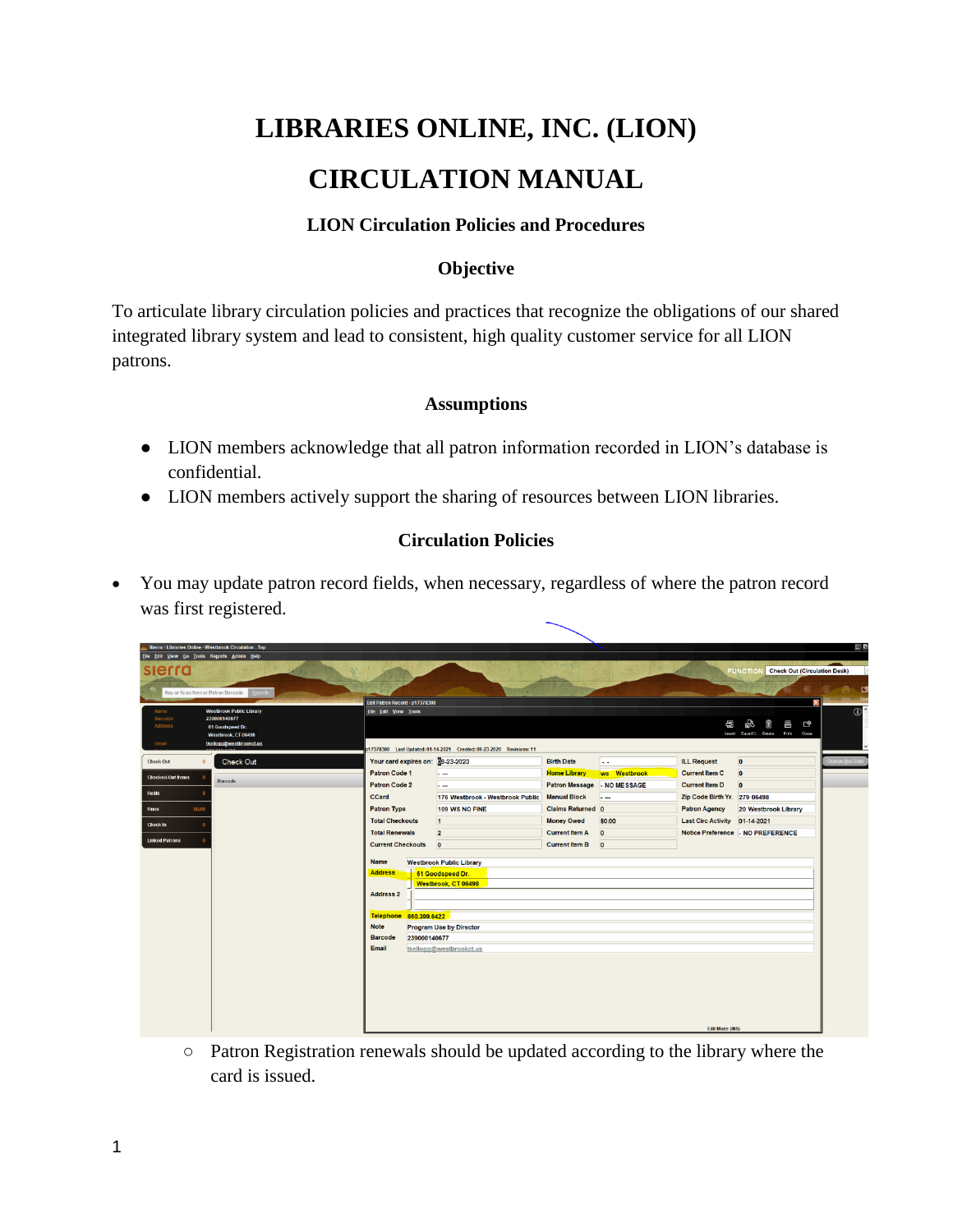# **LIBRARIES ONLINE, INC. (LION) CIRCULATION MANUAL**

## **LION Circulation Policies and Procedures**

### **Objective**

To articulate library circulation policies and practices that recognize the obligations of our shared integrated library system and lead to consistent, high quality customer service for all LION patrons.

#### **Assumptions**

- LION members acknowledge that all patron information recorded in LION's database is confidential.
- LION members actively support the sharing of resources between LION libraries.

#### **Circulation Policies**

 You may update patron record fields, when necessary, regardless of where the patron record was first registered.

| Sierra - Libraries Online - Westbrook Circulation - Top |                                                                      |                                                                                 |                     |                                  |                             |                          |                               |                                                        | 目目             |
|---------------------------------------------------------|----------------------------------------------------------------------|---------------------------------------------------------------------------------|---------------------|----------------------------------|-----------------------------|--------------------------|-------------------------------|--------------------------------------------------------|----------------|
| Eile Edit View Go Tools Reports Admin Help              |                                                                      |                                                                                 |                     |                                  |                             |                          |                               |                                                        |                |
| sierra                                                  |                                                                      |                                                                                 |                     |                                  |                             |                          |                               | <b>Check Out (Circulation Desk)</b><br><b>FUNCTION</b> |                |
|                                                         |                                                                      |                                                                                 |                     |                                  |                             |                          |                               |                                                        | 昌凶<br>?        |
| Key or Scan Item or Patron Barcode                      | <b>Search</b>                                                        |                                                                                 |                     |                                  |                             |                          |                               |                                                        | Cion           |
| <b>Westbrook Public Library</b><br>Name                 |                                                                      | ×<br>Edit Patron Record - p17378308<br>File Edit View Tools                     |                     |                                  |                             |                          |                               |                                                        | $\circ$        |
| Barcode<br>Address                                      | 239000140677                                                         |                                                                                 |                     |                                  |                             |                          | 周                             | £5<br>m<br>Ŗ<br>른                                      |                |
|                                                         | 61 Goodspeed Dr.<br>Westbrook, CT 06498                              |                                                                                 |                     |                                  |                             |                          |                               | Insert Save/Cl Delete Print Close                      |                |
| Email<br>tkellogg@westbrookct.us                        | p17378308 Last Updated: 01-14-2021 Created: 09-23-2020 Revisions: 11 |                                                                                 |                     |                                  |                             |                          |                               |                                                        |                |
| Check Out                                               | Check Out                                                            | Your card expires on: 39-23-2023                                                |                     |                                  | <b>Birth Date</b>           | $\ddots$                 | <b>ILL Request</b>            | $\overline{0}$                                         | hange Due Date |
| <b>Checked Out Items</b>                                |                                                                      | <b>Patron Code 1</b>                                                            |                     | $\overline{\phantom{a}}$         | <b>Home Library</b>         | ws Westbrook             | <b>Current Item C</b>         | $\overline{0}$                                         |                |
|                                                         | Barcode                                                              | <b>Patron Code 2</b>                                                            |                     | $\overline{\phantom{a}}$         | Patron Message - NO MESSAGE |                          | <b>Current Item D</b>         | $\overline{0}$                                         |                |
| <b>Holds</b>                                            |                                                                      | <b>CCard</b>                                                                    |                     | 176 Westbrook - Westbrook Public | <b>Manual Block</b>         | $\overline{\phantom{a}}$ | Zip Code Birth Yr. 279 06498  |                                                        |                |
| <b>Fines</b><br>\$0.00                                  |                                                                      | <b>Patron Type</b>                                                              |                     | 109 WS NO FINE                   | <b>Claims Returned 0</b>    |                          | <b>Patron Agency</b>          | 20 Westbrook Library                                   |                |
| <b>Check In</b>                                         |                                                                      | <b>Total Checkouts</b>                                                          |                     | $\vert$ 1                        | <b>Money Owed</b>           | \$0,00                   | Last Circ Activity 01-14-2021 |                                                        |                |
|                                                         |                                                                      | <b>Total Renewals</b>                                                           |                     | $\overline{2}$                   | <b>Current Item A</b>       | $\overline{0}$           |                               | Notice Preference - NO PREFERENCE                      |                |
| <b>Linked Patrons</b>                                   |                                                                      | <b>Current Checkouts</b>                                                        |                     | $\overline{\mathbf{0}}$          | <b>Current Item B</b>       | $\circ$                  |                               |                                                        |                |
|                                                         |                                                                      | <b>Name</b><br><b>Westbrook Public Library</b>                                  |                     |                                  |                             |                          |                               |                                                        |                |
|                                                         |                                                                      | <b>Address</b><br>61 Goodspeed Dr.                                              |                     |                                  |                             |                          |                               |                                                        |                |
|                                                         |                                                                      |                                                                                 | Westbrook, CT 06498 |                                  |                             |                          |                               |                                                        |                |
|                                                         |                                                                      | <b>Address 2</b>                                                                |                     |                                  |                             |                          |                               |                                                        |                |
|                                                         |                                                                      |                                                                                 |                     |                                  |                             |                          |                               |                                                        |                |
|                                                         |                                                                      | Telephone 860.399.6422                                                          |                     |                                  |                             |                          |                               |                                                        |                |
|                                                         |                                                                      | <b>Note</b><br><b>Program Use by Director</b><br><b>Barcode</b><br>239000140677 |                     |                                  |                             |                          |                               |                                                        |                |
|                                                         |                                                                      | Email<br>tkellogg@westbrookct.us                                                |                     |                                  |                             |                          |                               |                                                        |                |
|                                                         |                                                                      |                                                                                 |                     |                                  |                             |                          |                               |                                                        |                |
|                                                         |                                                                      |                                                                                 |                     |                                  |                             |                          |                               |                                                        |                |
|                                                         |                                                                      |                                                                                 |                     |                                  |                             |                          |                               |                                                        |                |
|                                                         |                                                                      |                                                                                 |                     |                                  |                             |                          |                               |                                                        |                |
|                                                         |                                                                      |                                                                                 |                     |                                  |                             |                          |                               |                                                        |                |
|                                                         |                                                                      |                                                                                 |                     |                                  |                             |                          |                               |                                                        |                |
|                                                         |                                                                      |                                                                                 |                     |                                  |                             |                          | <b>Edit Mode (INS)</b>        |                                                        |                |

○ Patron Registration renewals should be updated according to the library where the card is issued.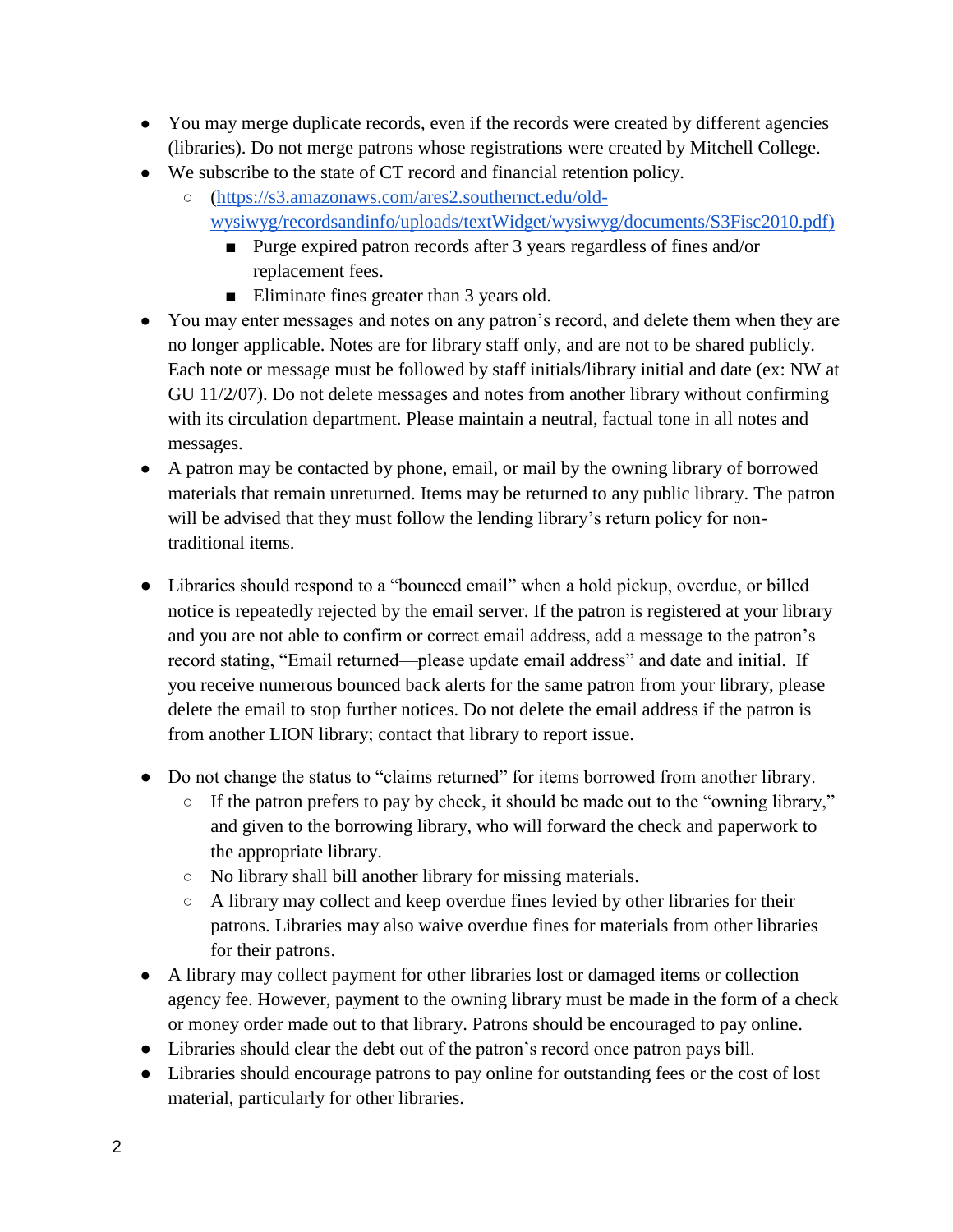- You may merge duplicate records, even if the records were created by different agencies (libraries). Do not merge patrons whose registrations were created by Mitchell College.
- We subscribe to the state of CT record and financial retention policy.
	- [\(https://s3.amazonaws.com/ares2.southernct.edu/old](https://s3.amazonaws.com/ares2.southernct.edu/old-wysiwyg/recordsandinfo/uploads/textWidget/wysiwyg/documents/S3Fisc2010.pdf)[wysiwyg/recordsandinfo/uploads/textWidget/wysiwyg/documents/S3Fisc2010.pdf\)](https://s3.amazonaws.com/ares2.southernct.edu/old-wysiwyg/recordsandinfo/uploads/textWidget/wysiwyg/documents/S3Fisc2010.pdf)
		- Purge expired patron records after 3 years regardless of fines and/or replacement fees.
		- Eliminate fines greater than 3 years old.
- You may enter messages and notes on any patron's record, and delete them when they are no longer applicable. Notes are for library staff only, and are not to be shared publicly. Each note or message must be followed by staff initials/library initial and date (ex: NW at GU 11/2/07). Do not delete messages and notes from another library without confirming with its circulation department. Please maintain a neutral, factual tone in all notes and messages.
- A patron may be contacted by phone, email, or mail by the owning library of borrowed materials that remain unreturned. Items may be returned to any public library. The patron will be advised that they must follow the lending library's return policy for nontraditional items.
- Libraries should respond to a "bounced email" when a hold pickup, overdue, or billed notice is repeatedly rejected by the email server. If the patron is registered at your library and you are not able to confirm or correct email address, add a message to the patron's record stating, "Email returned—please update email address" and date and initial. If you receive numerous bounced back alerts for the same patron from your library, please delete the email to stop further notices. Do not delete the email address if the patron is from another LION library; contact that library to report issue.
- Do not change the status to "claims returned" for items borrowed from another library.
	- If the patron prefers to pay by check, it should be made out to the "owning library," and given to the borrowing library, who will forward the check and paperwork to the appropriate library.
	- No library shall bill another library for missing materials.
	- A library may collect and keep overdue fines levied by other libraries for their patrons. Libraries may also waive overdue fines for materials from other libraries for their patrons.
- A library may collect payment for other libraries lost or damaged items or collection agency fee. However, payment to the owning library must be made in the form of a check or money order made out to that library. Patrons should be encouraged to pay online.
- Libraries should clear the debt out of the patron's record once patron pays bill.
- Libraries should encourage patrons to pay online for outstanding fees or the cost of lost material, particularly for other libraries.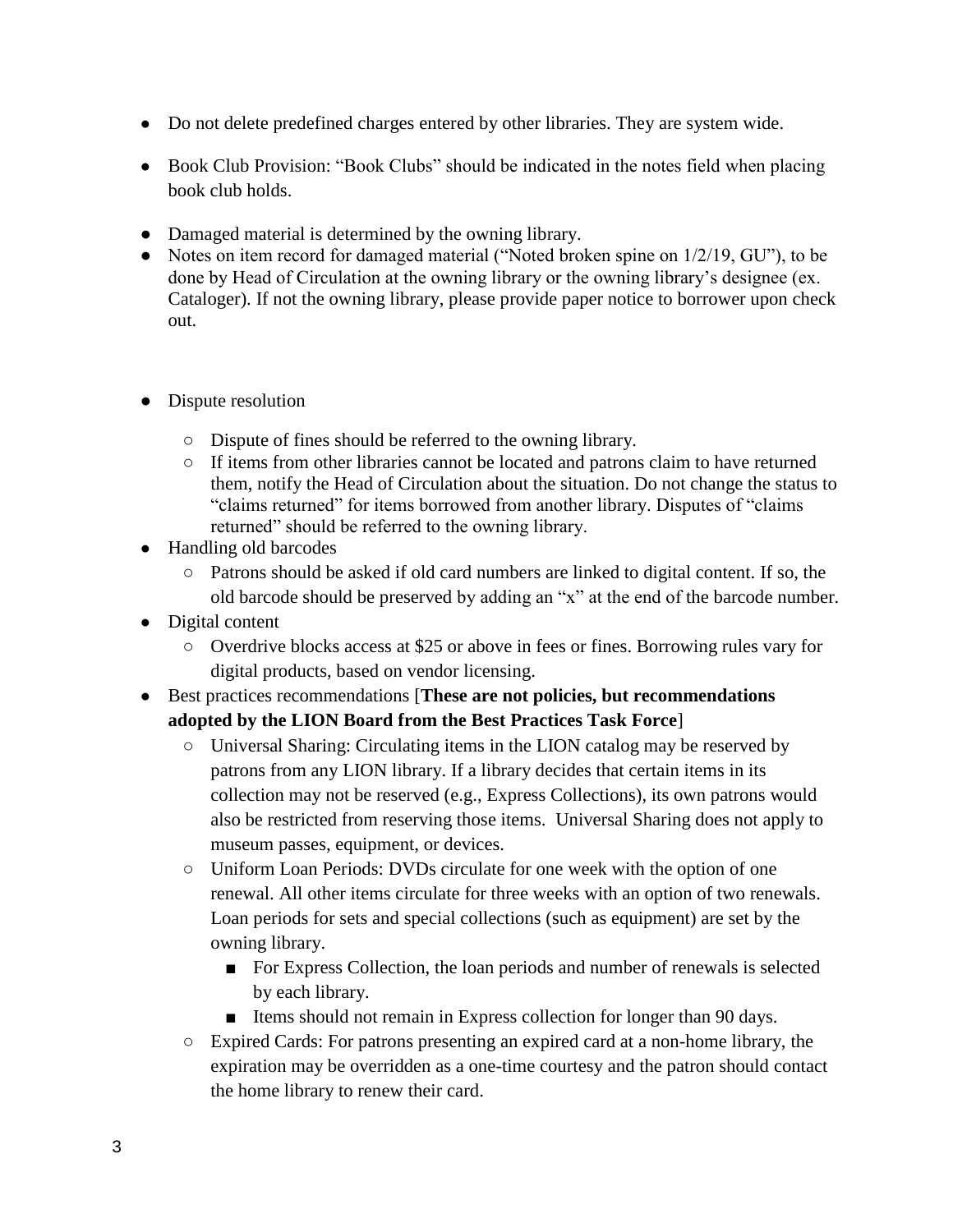- Do not delete predefined charges entered by other libraries. They are system wide.
- Book Club Provision: "Book Clubs" should be indicated in the notes field when placing book club holds.
- Damaged material is determined by the owning library.
- Notes on item record for damaged material ("Noted broken spine on  $1/2/19$ , GU"), to be done by Head of Circulation at the owning library or the owning library's designee (ex. Cataloger). If not the owning library, please provide paper notice to borrower upon check out.
- Dispute resolution
	- Dispute of fines should be referred to the owning library.
	- If items from other libraries cannot be located and patrons claim to have returned them, notify the Head of Circulation about the situation. Do not change the status to "claims returned" for items borrowed from another library. Disputes of "claims returned" should be referred to the owning library.
- Handling old barcodes
	- Patrons should be asked if old card numbers are linked to digital content. If so, the old barcode should be preserved by adding an "x" at the end of the barcode number.
- Digital content
	- Overdrive blocks access at \$25 or above in fees or fines. Borrowing rules vary for digital products, based on vendor licensing.
- Best practices recommendations [**These are not policies, but recommendations adopted by the LION Board from the Best Practices Task Force**]
	- $\circ$  Universal Sharing: Circulating items in the LION catalog may be reserved by patrons from any LION library. If a library decides that certain items in its collection may not be reserved (e.g., Express Collections), its own patrons would also be restricted from reserving those items. Universal Sharing does not apply to museum passes, equipment, or devices.
	- Uniform Loan Periods: DVDs circulate for one week with the option of one renewal. All other items circulate for three weeks with an option of two renewals. Loan periods for sets and special collections (such as equipment) are set by the owning library.
		- For Express Collection, the loan periods and number of renewals is selected by each library.
		- Items should not remain in Express collection for longer than 90 days.
	- Expired Cards: For patrons presenting an expired card at a non-home library, the expiration may be overridden as a one-time courtesy and the patron should contact the home library to renew their card.